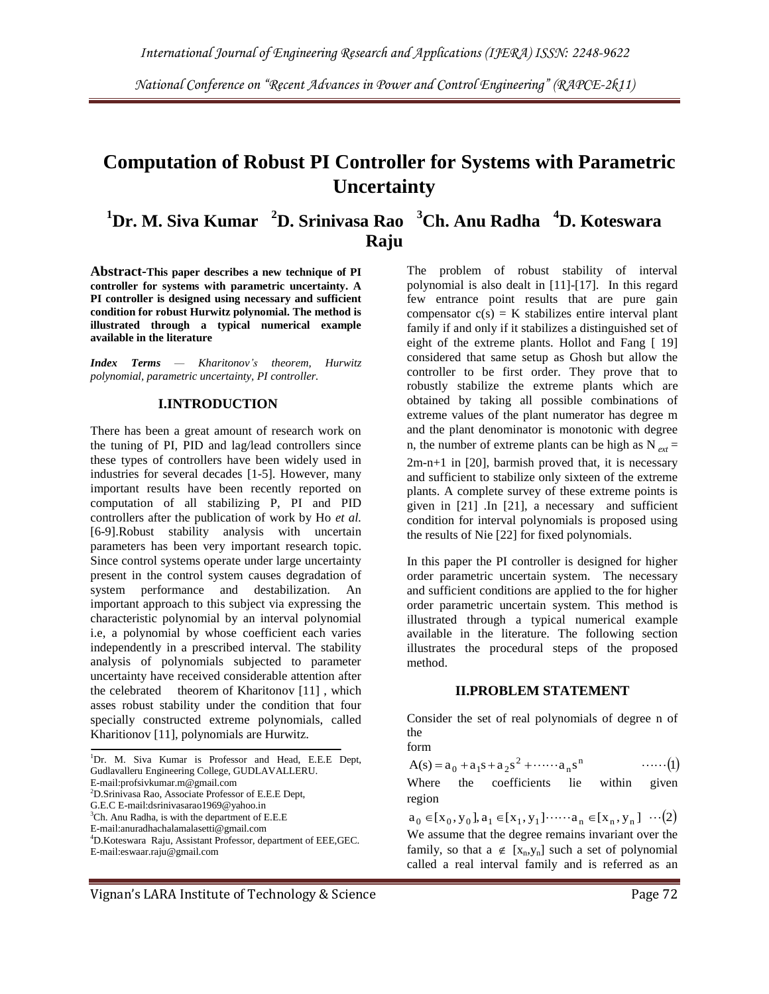*National Conference on "Recent Advances in Power and Control Engineering" (RAPCE-2k11)* 

# **Computation of Robust PI Controller for Systems with Parametric Uncertainty**

## **<sup>1</sup>Dr. M. Siva Kumar <sup>2</sup>D. Srinivasa Rao <sup>3</sup>Ch. Anu Radha <sup>4</sup>D. Koteswara Raju**

**Abstract-This paper describes a new technique of PI controller for systems with parametric uncertainty. A PI controller is designed using necessary and sufficient condition for robust Hurwitz polynomial. The method is illustrated through a typical numerical example available in the literature**

*Index Terms — Kharitonov's theorem, Hurwitz polynomial, parametric uncertainty, PI controller.*

### **I.INTRODUCTION**

There has been a great amount of research work on the tuning of PI, PID and lag/lead controllers since these types of controllers have been widely used in industries for several decades [1-5]. However, many important results have been recently reported on computation of all stabilizing P, PI and PID controllers after the publication of work by Ho *et al.*  [6-9].Robust stability analysis with uncertain parameters has been very important research topic. Since control systems operate under large uncertainty present in the control system causes degradation of system performance and destabilization. An important approach to this subject via expressing the characteristic polynomial by an interval polynomial i.e, a polynomial by whose coefficient each varies independently in a prescribed interval. The stability analysis of polynomials subjected to parameter uncertainty have received considerable attention after the celebrated theorem of Kharitonov [11], which asses robust stability under the condition that four specially constructed extreme polynomials, called Kharitionov [11], polynomials are Hurwitz.

<sup>1</sup>Dr. M. Siva Kumar is Professor and Head, E.E.E Dept, Gudlavalleru Engineering College, GUDLAVALLERU. E-mail:profsivkumar.m@gmail.com <sup>2</sup>D.Srinivasa Rao, Associate Professor of E.E.E Dept, G.E.C E-mail:dsrinivasarao1969@yahoo.in  ${}^{3}$ Ch. Anu Radha, is with the department of E.E.E E-mail:anuradhachalamalasetti@gmail.com

<sup>4</sup>D.Koteswara Raju, Assistant Professor, department of EEE,GEC. E-mail:eswaar.raju@gmail.com

The problem of robust stability of interval polynomial is also dealt in [11]-[17]. In this regard few entrance point results that are pure gain compensator  $c(s) = K$  stabilizes entire interval plant family if and only if it stabilizes a distinguished set of eight of the extreme plants. Hollot and Fang [ 19] considered that same setup as Ghosh but allow the controller to be first order. They prove that to robustly stabilize the extreme plants which are obtained by taking all possible combinations of extreme values of the plant numerator has degree m and the plant denominator is monotonic with degree n, the number of extreme plants can be high as  $N_{ext} =$ 2m-n+1 in [20], barmish proved that, it is necessary and sufficient to stabilize only sixteen of the extreme plants. A complete survey of these extreme points is given in [21] .In [21], a necessary and sufficient condition for interval polynomials is proposed using the results of Nie [22] for fixed polynomials.

In this paper the PI controller is designed for higher order parametric uncertain system. The necessary and sufficient conditions are applied to the for higher order parametric uncertain system. This method is illustrated through a typical numerical example available in the literature. The following section illustrates the procedural steps of the proposed method.

### **II.PROBLEM STATEMENT**

Consider the set of real polynomials of degree n of the

form

$$
A(s) = a_0 + a_1s + a_2s^2 + \cdots + a_ns^n \qquad \qquad \cdots \cdots (1)
$$

Where the coefficients lie within given region

 $a_0 \in [x_0, y_0], a_1 \in [x_1, y_1] \cdots a_n \in [x_n, y_n] \cdots (2)$ We assume that the degree remains invariant over the family, so that  $a \notin [x_n,y_n]$  such a set of polynomial called a real interval family and is referred as an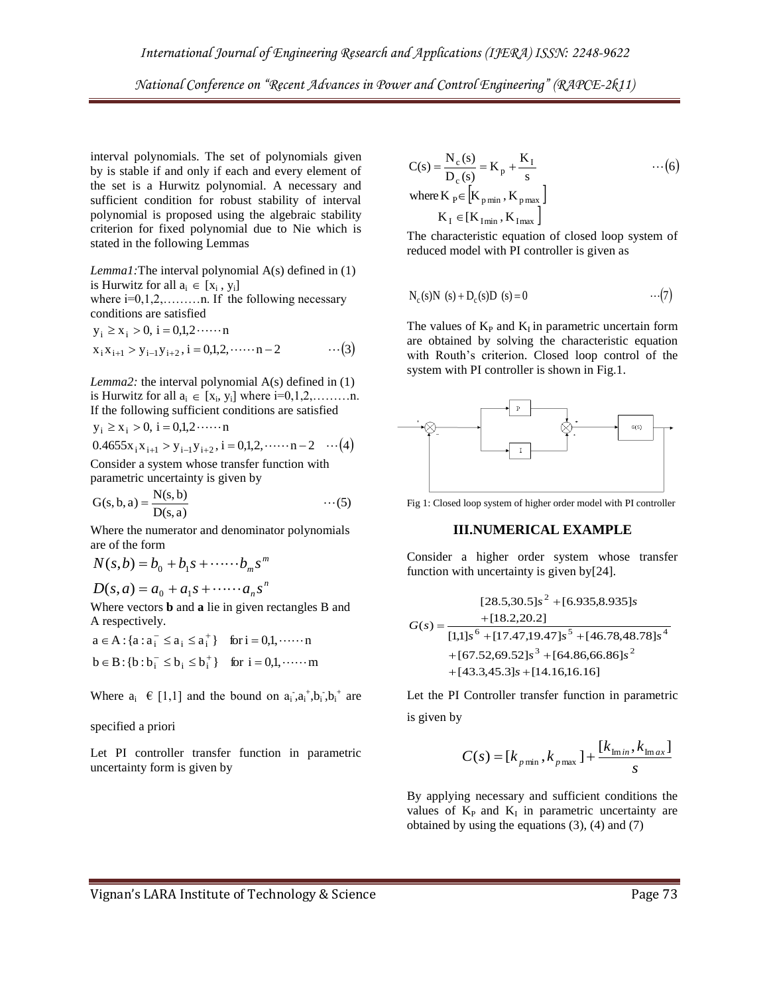interval polynomials. The set of polynomials given by is stable if and only if each and every element of the set is a Hurwitz polynomial. A necessary and sufficient condition for robust stability of interval polynomial is proposed using the algebraic stability criterion for fixed polynomial due to Nie which is stated in the following Lemmas

*Lemma1:*The interval polynomial A(s) defined in (1) is Hurwitz for all  $a_i \in [x_i, y_i]$ 

where  $i=0,1,2,\ldots$  in. If the following necessary conditions are satisfied

$$
y_i \ge x_i > 0, i = 0,1,2 \cdots n
$$
  
\n $x_i x_{i+1} > y_{i-1} y_{i+2}, i = 0,1,2, \cdots n-2$  ... (3)

*Lemma2:* the interval polynomial A(s) defined in (1) is Hurwitz for all  $a_i \in [x_i, y_i]$  where  $i=0,1,2,...,...,n$ . If the following sufficient conditions are satisfied  $y_i \ge x_i > 0$ , i = 0,1,2 ······· n

$$
0.4655x_i x_{i+1} > y_{i-1}y_{i+2}, i = 0,1,2,\cdots n-2 \quad \cdots (4)
$$

Consider a system whose transfer function with parametric uncertainty is given by

$$
G(s, b, a) = \frac{N(s, b)}{D(s, a)} \qquad \qquad \cdots (5)
$$

Where the numerator and denominator polynomials are of the form

$$
N(s,b) = b_0 + b_1 s + \cdots + b_m s^m
$$
  

$$
D(s,a) = s + a_1 s + \cdots + a_n s^n
$$

$$
D(s, a) = a_0 + a_1 s + \cdots + a_n s'
$$

Where vectors **b** and **a** lie in given rectangles B and A respectively.

$$
a \in A : \{a : a_i^- \le a_i \le a_i^+\} \text{ for } i = 0, 1, \dots \dots n
$$
  

$$
b \in B : \{b : b_i^- \le b_i \le b_i^+\} \text{ for } i = 0, 1, \dots \dots m
$$

Where  $a_i \in [1,1]$  and the bound on  $a_i$ ,  $a_i$ <sup>+</sup>,  $b_i$ ,  $b_i$ <sup>+</sup> are

#### specified a priori

Let PI controller transfer function in parametric uncertainty form is given by

$$
C(s) = \frac{N_c(s)}{D_c(s)} = K_p + \frac{K_I}{s}
$$
  
where  $K_p \in [K_{pmin}, K_{pmax}]$   
 $K_I \in [K_{Imin}, K_{Imax}]$  (6)

The characteristic equation of closed loop system of reduced model with PI controller is given as

$$
N_c(s)N(s) + D_c(s)D(s) = 0
$$
 ... (7)

The values of  $K_P$  and  $K_I$  in parametric uncertain form are obtained by solving the characteristic equation with Routh's criterion. Closed loop control of the system with PI controller is shown in Fig.1.



Fig 1: Closed loop system of higher order model with PI controller

## **III.NUMERICAL EXAMPLE**

Consider a higher order system whose transfer function with uncertainty is given by[24].

$$
[28.5,30.5]s2 + [6.935,8.935]s
$$

$$
G(s) = \frac{+ [18.2,20.2]}{[1,1]s6 + [17.47,19.47]s5 + [46.78,48.78]s4 + [67.52,69.52]s3 + [64.86,66.86]s2 + [43.3,45.3]s + [14.16,16.16]
$$

Let the PI Controller transfer function in parametric is given by

$$
C(s) = [k_{p\min}, k_{p\max}] + \frac{[k_{\min}, k_{\max}]}{s}
$$

By applying necessary and sufficient conditions the values of  $K_P$  and  $K_I$  in parametric uncertainty are obtained by using the equations (3), (4) and (7)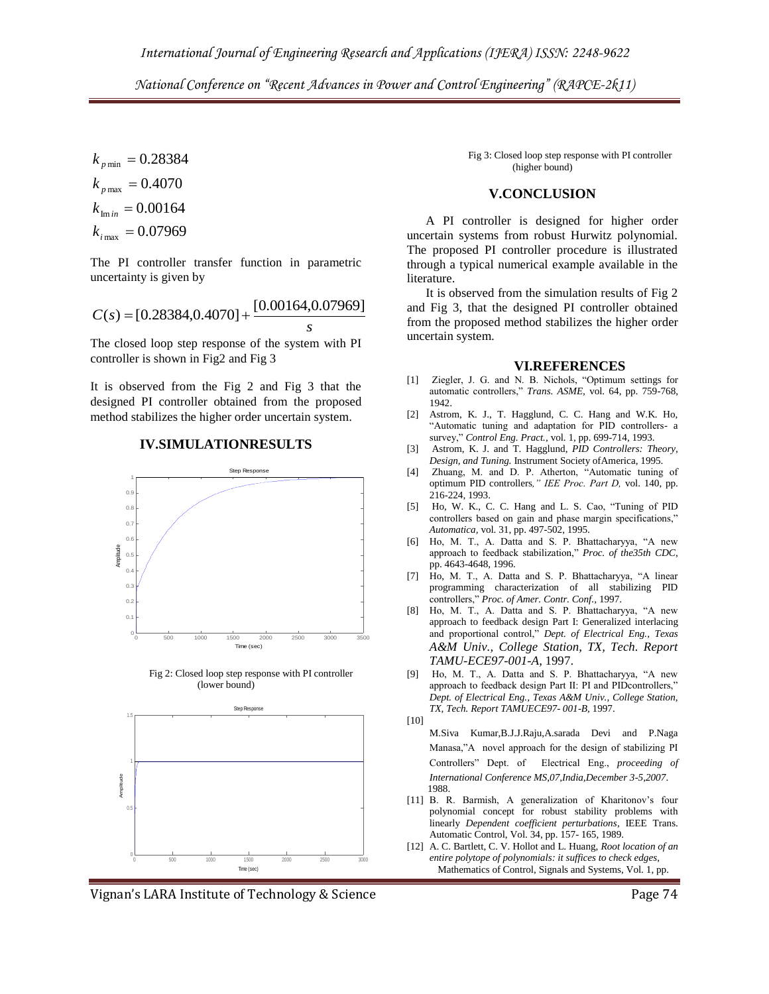*National Conference on "Recent Advances in Power and Control Engineering" (RAPCE-2k11)* 

$$
k_{p\min} = 0.28384
$$
  
\n
$$
k_{p\max} = 0.4070
$$
  
\n
$$
k_{\min} = 0.00164
$$
  
\n
$$
k_{\max} = 0.07969
$$

The PI controller transfer function in parametric uncertainty is given by

$$
C(s) = [0.28384, 0.4070] + \frac{[0.00164, 0.07969]}{s}
$$

The closed loop step response of the system with PI controller is shown in Fig2 and Fig 3

It is observed from the Fig 2 and Fig 3 that the designed PI controller obtained from the proposed method stabilizes the higher order uncertain system.









Vignan's LARA Institute of Technology & Science **Page 74** Page 74

 Fig 3: Closed loop step response with PI controller (higher bound)

### **V.CONCLUSION**

 A PI controller is designed for higher order uncertain systems from robust Hurwitz polynomial. The proposed PI controller procedure is illustrated through a typical numerical example available in the literature.

 It is observed from the simulation results of Fig 2 and Fig 3, that the designed PI controller obtained from the proposed method stabilizes the higher order uncertain system.

#### **VI.REFERENCES**

- [1] Ziegler, J. G. and N. B. Nichols, "Optimum settings for automatic controllers," *Trans. ASME,* vol. 64, pp. 759-768, 1942.
- [2] Astrom, K. J., T. Hagglund, C. C. Hang and W.K. Ho, "Automatic tuning and adaptation for PID controllers- a survey," *Control Eng. Pract.,* vol. 1, pp. 699-714, 1993.
- [3] Astrom, K. J. and T. Hagglund, *PID Controllers: Theory, Design, and Tuning.* Instrument Society ofAmerica, 1995.
- [4] Zhuang, M. and D. P. Atherton, "Automatic tuning of optimum PID controllers*," IEE Proc. Part D,* vol. 140, pp. 216-224, 1993.
- [5] Ho, W. K., C. C. Hang and L. S. Cao, "Tuning of PID controllers based on gain and phase margin specifications," *Automatica,* vol. 31, pp. 497-502, 1995.
- [6] Ho, M. T., A. Datta and S. P. Bhattacharyya, "A new approach to feedback stabilization," *Proc. of the35th CDC,*  pp. 4643-4648, 1996.
- [7] Ho, M. T., A. Datta and S. P. Bhattacharyya, "A linear programming characterization of all stabilizing PID controllers," *Proc. of Amer. Contr. Conf.,* 1997.
- [8] Ho, M. T., A. Datta and S. P. Bhattacharyya, "A new approach to feedback design Part I: Generalized interlacing and proportional control," *Dept. of Electrical Eng., Texas A&M Univ., College Station, TX, Tech. Report TAMU-ECE97-001-A,* 1997.
- [9] Ho, M. T., A. Datta and S. P. Bhattacharyya, "A new approach to feedback design Part II: PI and PIDcontrollers," *Dept. of Electrical Eng., Texas A&M Univ., College Station, TX, Tech. Report TAMUECE97- 001-B,* 1997. [10]
	- M.Siva Kumar,B.J.J.Raju,A.sarada Devi and P.Naga Manasa,"A novel approach for the design of stabilizing PI Controllers" Dept. of Electrical Eng., *proceeding of International Conference MS,07,India,December 3-5,2007*. 1988.
- [11] B. R. Barmish, A generalization of Kharitonov's four polynomial concept for robust stability problems with linearly *Dependent coefficient perturbations*, IEEE Trans. Automatic Control, Vol. 34, pp. 157- 165, 1989.
- [12] A. C. Bartlett, C. V. Hollot and L. Huang, *Root location of an entire polytope of polynomials: it suffices to check edges*, Mathematics of Control, Signals and Systems, Vol. 1, pp.